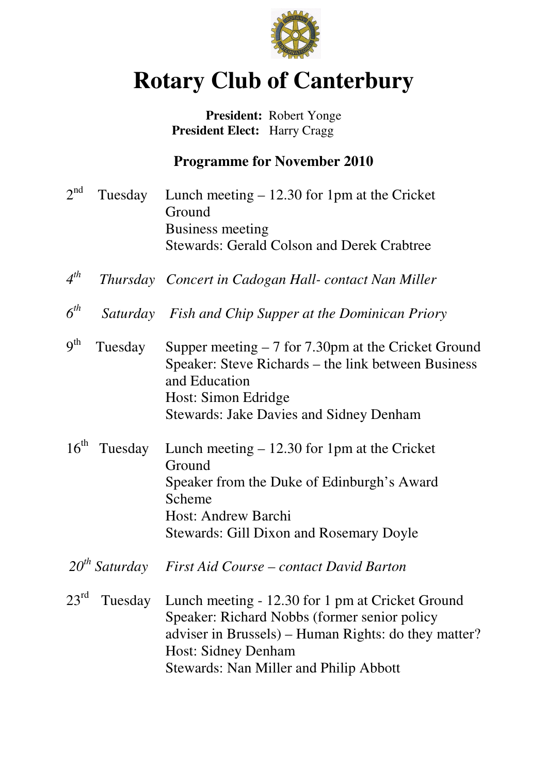

# **Rotary Club of Canterbury**

# **President:** Robert Yonge  **President Elect:** Harry Cragg

# **Programme for November 2010**

- $2<sup>nd</sup>$ Tuesday Lunch meeting  $- 12.30$  for 1pm at the Cricket Ground Business meeting Stewards: Gerald Colson and Derek Crabtree
- *4 th Thursday Concert in Cadogan Hall- contact Nan Miller*
- $6^{th}$ *th Saturday Fish and Chip Supper at the Dominican Priory*
- $q<sup>th</sup>$ Tuesday Supper meeting  $-7$  for 7.30pm at the Cricket Ground Speaker: Steve Richards – the link between Business and Education Host: Simon Edridge Stewards: Jake Davies and Sidney Denham
- $16<sup>th</sup>$  Tuesday Lunch meeting 12.30 for 1pm at the Cricket Ground Speaker from the Duke of Edinburgh's Award Scheme Host: Andrew Barchi Stewards: Gill Dixon and Rosemary Doyle
- *20th Saturday First Aid Course contact David Barton*
- $23^{\text{rd}}$  Tuesday Lunch meeting - 12.30 for 1 pm at Cricket Ground Speaker: Richard Nobbs (former senior policy adviser in Brussels) – Human Rights: do they matter? Host: Sidney Denham Stewards: Nan Miller and Philip Abbott